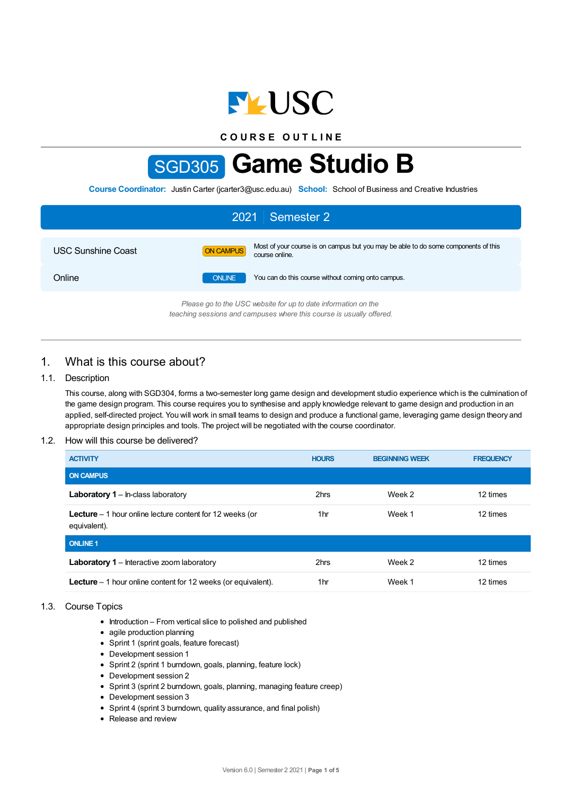

**C O U R S E O U T L I N E**

# SGD305 **Game Studio B**

**Course Coordinator:** Justin Carter (jcarter3@usc.edu.au) **School:** School of Business and Creative Industries

| 2021 Semester 2                                                |               |                                                                                                      |  |  |
|----------------------------------------------------------------|---------------|------------------------------------------------------------------------------------------------------|--|--|
| <b>USC Sunshine Coast</b>                                      | ON CAMPUS     | Most of your course is on campus but you may be able to do some components of this<br>course online. |  |  |
| Online                                                         | <b>ONLINE</b> | You can do this course without coming onto campus.                                                   |  |  |
| Please go to the USC website for up to date information on the |               |                                                                                                      |  |  |

*Please go to the USC website for up to date information on the teaching sessions and campuses where this course is usually offered.*

# 1. What is this course about?

## 1.1. Description

This course, along with SGD304, forms a two-semester long game design and development studio experience which is the culmination of the game design program. This course requires you to synthesise and apply knowledge relevant to game design and production in an applied, self-directed project. You will work in small teams to design and produce a functional game, leveraging game design theory and appropriate design principles and tools. The project will be negotiated with the course coordinator.

## 1.2. How will this course be delivered?

| <b>ACTIVITY</b>                                                                  | <b>HOURS</b> | <b>BEGINNING WEEK</b> | <b>FREQUENCY</b> |
|----------------------------------------------------------------------------------|--------------|-----------------------|------------------|
| <b>ON CAMPUS</b>                                                                 |              |                       |                  |
| <b>Laboratory 1</b> – In-class laboratory                                        | 2hrs         | Week 2                | 12 times         |
| <b>Lecture</b> $-1$ hour online lecture content for 12 weeks (or<br>equivalent). | 1hr          | Week 1                | 12 times         |
| <b>ONLINE 1</b>                                                                  |              |                       |                  |
| <b>Laboratory 1</b> – Interactive zoom laboratory                                | 2hrs         | Week 2                | 12 times         |
| <b>Lecture</b> $-1$ hour online content for 12 weeks (or equivalent).            | 1hr          | Week 1                | 12 times         |

## 1.3. Course Topics

- Introduction From vertical slice to polished and published
- agile production planning
- Sprint 1 (sprint goals, feature forecast)
- Development session 1
- Sprint 2 (sprint 1 burndown, goals, planning, feature lock)
- Development session 2
- Sprint 3 (sprint 2 burndown, goals, planning, managing feature creep)
- Development session 3
- Sprint 4 (sprint 3 burndown, quality assurance, and final polish)
- Release and review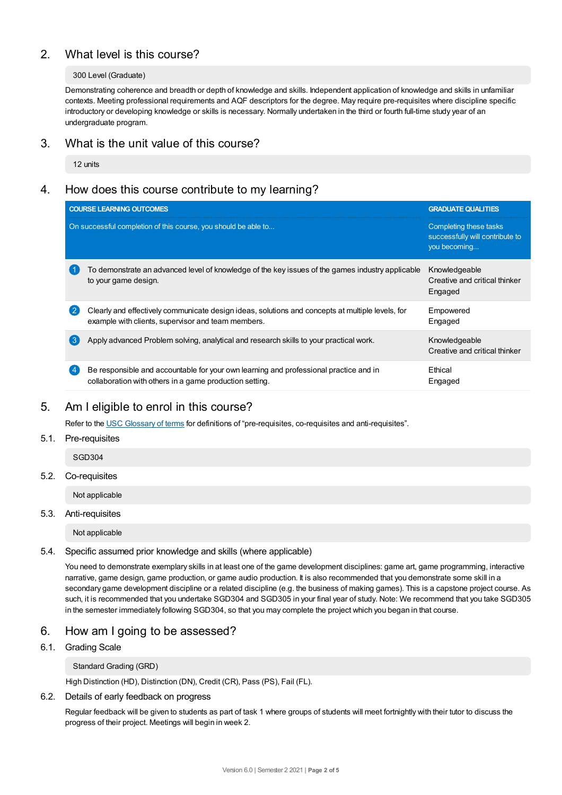# 2. What level is this course?

## 300 Level (Graduate)

Demonstrating coherence and breadth or depth of knowledge and skills. Independent application of knowledge and skills in unfamiliar contexts. Meeting professional requirements and AQF descriptors for the degree. May require pre-requisites where discipline specific introductory or developing knowledge or skills is necessary. Normally undertaken in the third or fourth full-time study year of an undergraduate program.

## 3. What is the unit value of this course?

12 units

# 4. How does this course contribute to my learning?

| <b>COURSE LEARNING OUTCOMES</b>                                                                                                                                          | <b>GRADUATE QUALITIES</b>                                                 |
|--------------------------------------------------------------------------------------------------------------------------------------------------------------------------|---------------------------------------------------------------------------|
| On successful completion of this course, you should be able to                                                                                                           | Completing these tasks<br>successfully will contribute to<br>you becoming |
| To demonstrate an advanced level of knowledge of the key issues of the games industry applicable<br>to your game design.                                                 | Knowledgeable<br>Creative and critical thinker<br>Engaged                 |
| $\overline{2}$<br>Clearly and effectively communicate design ideas, solutions and concepts at multiple levels, for<br>example with clients, supervisor and team members. | Empowered<br>Engaged                                                      |
| (ვ<br>Apply advanced Problem solving, analytical and research skills to your practical work.                                                                             | Knowledgeable<br>Creative and critical thinker                            |
| Be responsible and accountable for your own learning and professional practice and in<br>$\sqrt{4}$<br>collaboration with others in a game production setting.           | Ethical<br>Engaged                                                        |

# 5. Am Ieligible to enrol in this course?

Refer to the USC [Glossary](https://www.usc.edu.au/about/policies-and-procedures/glossary-of-terms-for-policy-and-procedures) of terms for definitions of "pre-requisites, co-requisites and anti-requisites".

## 5.1. Pre-requisites

SGD304

## 5.2. Co-requisites

Not applicable

## 5.3. Anti-requisites

Not applicable

## 5.4. Specific assumed prior knowledge and skills (where applicable)

You need to demonstrate exemplary skills in at least one of the game development disciplines: game art, game programming, interactive narrative, game design, game production, or game audio production. It is also recommended that you demonstrate some skill in a secondary game development discipline or a related discipline (e.g. the business of making games). This is a capstone project course. As such, it is recommended that you undertake SGD304 and SGD305 in your final year of study. Note: We recommend that you take SGD305 in the semester immediately following SGD304, so that you may complete the project which you began in that course.

# 6. How am Igoing to be assessed?

## 6.1. Grading Scale

Standard Grading (GRD)

High Distinction (HD), Distinction (DN), Credit (CR), Pass (PS), Fail (FL).

## 6.2. Details of early feedback on progress

Regular feedback will be given to students as part of task 1 where groups of students will meet fortnightly with their tutor to discuss the progress of their project. Meetings will begin in week 2.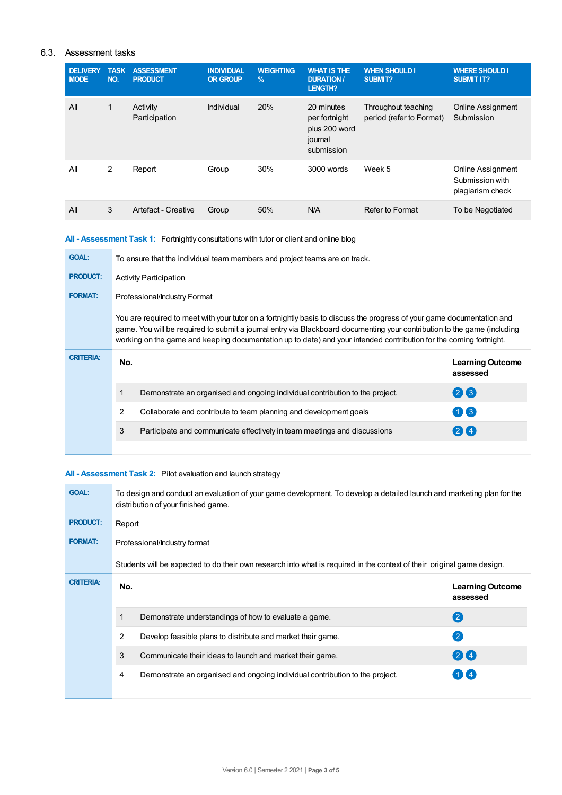## 6.3. Assessment tasks

| <b>DELIVERY</b><br><b>MODE</b> | <b>TASK</b><br>NO. | <b>ASSESSMENT</b><br><b>PRODUCT</b> | <b>INDIVIDUAL</b><br><b>OR GROUP</b> | <b>WEIGHTING</b><br>$\frac{9}{6}$ | <b>WHAT IS THE</b><br><b>DURATION /</b><br><b>LENGTH?</b>             | <b>WHEN SHOULD I</b><br><b>SUBMIT?</b>          | <b>WHERE SHOULD I</b><br><b>SUBMIT IT?</b>               |
|--------------------------------|--------------------|-------------------------------------|--------------------------------------|-----------------------------------|-----------------------------------------------------------------------|-------------------------------------------------|----------------------------------------------------------|
| All                            | 1                  | Activity<br>Participation           | Individual                           | 20%                               | 20 minutes<br>per fortnight<br>plus 200 word<br>journal<br>submission | Throughout teaching<br>period (refer to Format) | <b>Online Assignment</b><br>Submission                   |
| All                            | 2                  | Report                              | Group                                | 30%                               | 3000 words                                                            | Week 5                                          | Online Assignment<br>Submission with<br>plagiarism check |
| All                            | 3                  | Artefact - Creative                 | Group                                | 50%                               | N/A                                                                   | Refer to Format                                 | To be Negotiated                                         |

## **All - Assessment Task 1:** Fortnightly consultations with tutor or client and online blog

| <b>GOAL:</b>     |              | To ensure that the individual team members and project teams are on track.                                                                                                                                                                                                                                                                                               |                                     |
|------------------|--------------|--------------------------------------------------------------------------------------------------------------------------------------------------------------------------------------------------------------------------------------------------------------------------------------------------------------------------------------------------------------------------|-------------------------------------|
| <b>PRODUCT:</b>  |              | <b>Activity Participation</b>                                                                                                                                                                                                                                                                                                                                            |                                     |
| <b>FORMAT:</b>   |              | Professional/Industry Format                                                                                                                                                                                                                                                                                                                                             |                                     |
|                  |              | You are required to meet with your tutor on a fortnightly basis to discuss the progress of your game documentation and<br>game. You will be required to submit a journal entry via Blackboard documenting your contribution to the game (including<br>working on the game and keeping documentation up to date) and your intended contribution for the coming fortnight. |                                     |
|                  |              |                                                                                                                                                                                                                                                                                                                                                                          |                                     |
| <b>CRITERIA:</b> | No.          |                                                                                                                                                                                                                                                                                                                                                                          | <b>Learning Outcome</b><br>assessed |
|                  | $\mathbf{1}$ | Demonstrate an organised and ongoing individual contribution to the project.                                                                                                                                                                                                                                                                                             | 26                                  |
|                  | 2            | Collaborate and contribute to team planning and development goals                                                                                                                                                                                                                                                                                                        | $\blacksquare$ 3                    |
|                  | 3            | Participate and communicate effectively in team meetings and discussions                                                                                                                                                                                                                                                                                                 | $2$ K 4                             |

## **All - Assessment Task 2:** Pilot evaluation and launch strategy

| <b>GOAL:</b>     | To design and conduct an evaluation of your game development. To develop a detailed launch and marketing plan for the<br>distribution of your finished game. |                                                                                                                        |                                     |
|------------------|--------------------------------------------------------------------------------------------------------------------------------------------------------------|------------------------------------------------------------------------------------------------------------------------|-------------------------------------|
| <b>PRODUCT:</b>  | Report                                                                                                                                                       |                                                                                                                        |                                     |
| <b>FORMAT:</b>   |                                                                                                                                                              | Professional/Industry format                                                                                           |                                     |
|                  |                                                                                                                                                              | Students will be expected to do their own research into what is required in the context of their original game design. |                                     |
| <b>CRITERIA:</b> | No.                                                                                                                                                          |                                                                                                                        | <b>Learning Outcome</b><br>assessed |
|                  |                                                                                                                                                              | Demonstrate understandings of how to evaluate a game.                                                                  | $\left( 2\right)$                   |
|                  | 2                                                                                                                                                            | Develop feasible plans to distribute and market their game.                                                            | $\left( 2\right)$                   |
|                  | 3                                                                                                                                                            | Communicate their ideas to launch and market their game.                                                               | 24                                  |
|                  | 4                                                                                                                                                            | Demonstrate an organised and ongoing individual contribution to the project.                                           | $1$ K 4                             |
|                  |                                                                                                                                                              |                                                                                                                        |                                     |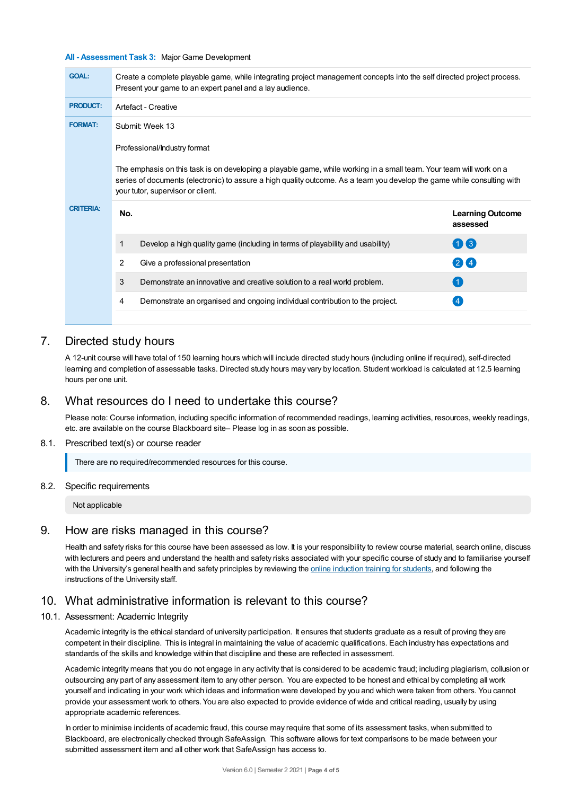#### **All - Assessment Task 3:** Major Game Development

| <b>GOAL:</b>     | Create a complete playable game, while integrating project management concepts into the self directed project process.<br>Present your game to an expert panel and a lay audience.                                                                                                  |                                     |
|------------------|-------------------------------------------------------------------------------------------------------------------------------------------------------------------------------------------------------------------------------------------------------------------------------------|-------------------------------------|
| <b>PRODUCT:</b>  | Artefact - Creative                                                                                                                                                                                                                                                                 |                                     |
| <b>FORMAT:</b>   | Submit: Week 13                                                                                                                                                                                                                                                                     |                                     |
|                  | Professional/Industry format                                                                                                                                                                                                                                                        |                                     |
|                  | The emphasis on this task is on developing a playable game, while working in a small team. Your team will work on a<br>series of documents (electronic) to assure a high quality outcome. As a team you develop the game while consulting with<br>your tutor, supervisor or client. |                                     |
| <b>CRITERIA:</b> | No.                                                                                                                                                                                                                                                                                 | <b>Learning Outcome</b><br>assessed |
|                  | 1<br>Develop a high quality game (including in terms of playability and usability)                                                                                                                                                                                                  | 03                                  |
|                  | $\overline{2}$<br>Give a professional presentation                                                                                                                                                                                                                                  | $\left( 2\right)$ (4)               |
|                  | 3<br>Demonstrate an innovative and creative solution to a real world problem.                                                                                                                                                                                                       |                                     |
|                  |                                                                                                                                                                                                                                                                                     |                                     |
|                  | Demonstrate an organised and ongoing individual contribution to the project.<br>4                                                                                                                                                                                                   |                                     |

## 7. Directed study hours

A 12-unit course will have total of 150 learning hours which will include directed study hours (including online if required), self-directed learning and completion of assessable tasks. Directed study hours may vary by location. Student workload is calculated at 12.5 learning hours per one unit.

# 8. What resources do I need to undertake this course?

Please note: Course information, including specific information of recommended readings, learning activities, resources, weekly readings, etc. are available on the course Blackboard site– Please log in as soon as possible.

#### 8.1. Prescribed text(s) or course reader

There are no required/recommended resources for this course.

## 8.2. Specific requirements

Not applicable

## 9. How are risks managed in this course?

Health and safety risks for this course have been assessed as low. It is your responsibility to review course material, search online, discuss with lecturers and peers and understand the health and safety risks associated with your specific course of study and to familiarise yourself with the University's general health and safety principles by reviewing the online [induction](https://online.usc.edu.au/webapps/blackboard/content/listContentEditable.jsp?content_id=_632657_1&course_id=_14432_1) training for students, and following the instructions of the University staff.

# 10. What administrative information is relevant to this course?

## 10.1. Assessment: Academic Integrity

Academic integrity is the ethical standard of university participation. It ensures that students graduate as a result of proving they are competent in their discipline. This is integral in maintaining the value of academic qualifications. Each industry has expectations and standards of the skills and knowledge within that discipline and these are reflected in assessment.

Academic integrity means that you do not engage in any activity that is considered to be academic fraud; including plagiarism, collusion or outsourcing any part of any assessment item to any other person. You are expected to be honest and ethical by completing all work yourself and indicating in your work which ideas and information were developed by you and which were taken from others. You cannot provide your assessment work to others. You are also expected to provide evidence of wide and critical reading, usually by using appropriate academic references.

In order to minimise incidents of academic fraud, this course may require that some of its assessment tasks, when submitted to Blackboard, are electronically checked through SafeAssign. This software allows for text comparisons to be made between your submitted assessment item and all other work that SafeAssign has access to.